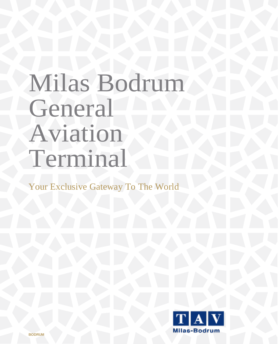## Milas Bodrum General Aviation Terminal

Your Exclusive Gateway To The World

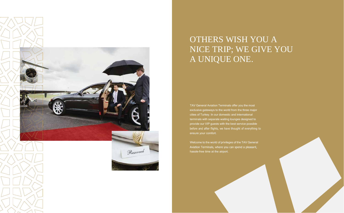

## OTHERS WISH YOU A NICE TRIP; WE GIVE YOU A UNIQUE ONE.

TAV General Aviation Terminals offer you the most exclusive gateways to the world from the three major cities of Turkey. In our domestic and international terminals with separate waiting lounges designed to provide our VIP guests with the best service possible before and after flights, we have thought of everything to ensure your comfort.

Welcome to the world of privileges of the TAV General Aviation Terminals, where you can spend a pleasant, hassle-free time at the airport.